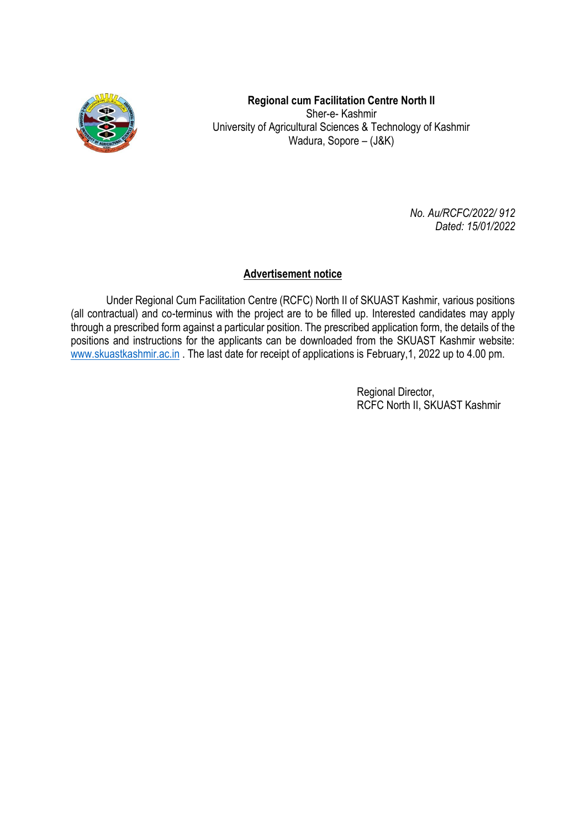

**Regional cum Facilitation Centre North II** Sher-e- Kashmir University of Agricultural Sciences & Technology of Kashmir Wadura, Sopore – (J&K)

> *No. Au/RCFC/2022/ 912 Dated: 15/01/2022*

#### **Advertisement notice**

Under Regional Cum Facilitation Centre (RCFC) North II of SKUAST Kashmir, various positions (all contractual) and co-terminus with the project are to be filled up. Interested candidates may apply through a prescribed form against a particular position. The prescribed application form, the details of the positions and instructions for the applicants can be downloaded from the SKUAST Kashmir website: [www.skuastkashmir.ac.in](http://www.skuastkashmir.ac.in/). The last date for receipt of applications is February, 1, 2022 up to 4.00 pm.

> Regional Director, RCFC North II, SKUAST Kashmir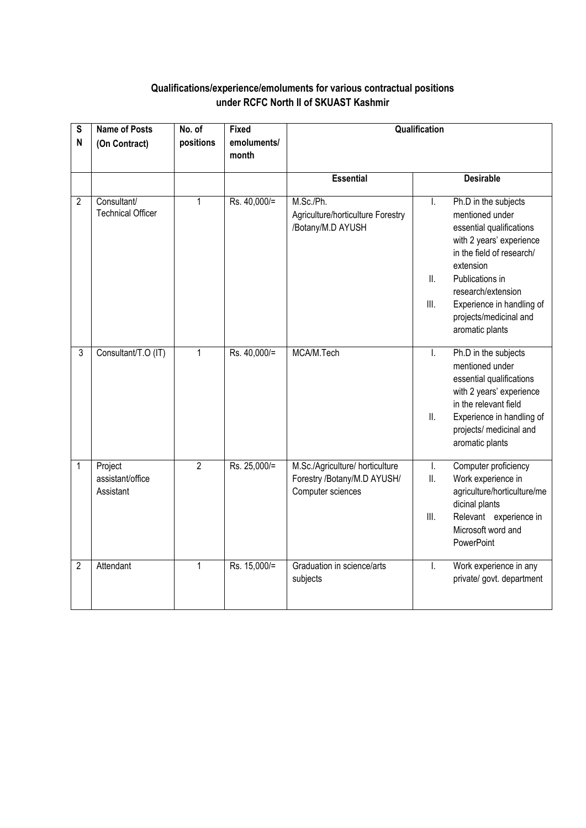### **Qualifications/experience/emoluments for various contractual positions under RCFC North II of SKUAST Kashmir**

| S<br>$\mathsf{N}$ | <b>Name of Posts</b><br>(On Contract)          | No. of<br>positions | <b>Fixed</b><br>emoluments/<br>month | Qualification                                                                       |                   |                                                                                                                                                                                                                                                              |
|-------------------|------------------------------------------------|---------------------|--------------------------------------|-------------------------------------------------------------------------------------|-------------------|--------------------------------------------------------------------------------------------------------------------------------------------------------------------------------------------------------------------------------------------------------------|
|                   |                                                |                     |                                      | <b>Essential</b>                                                                    |                   | <b>Desirable</b>                                                                                                                                                                                                                                             |
| $\overline{c}$    | <b>Consultant/</b><br><b>Technical Officer</b> | $\mathbf{1}$        | Rs. 40,000/=                         | M.Sc./Ph.<br>Agriculture/horticulture Forestry<br>/Botany/M.D AYUSH                 | Ι.<br>II.<br>III. | Ph.D in the subjects<br>mentioned under<br>essential qualifications<br>with 2 years' experience<br>in the field of research/<br>extension<br>Publications in<br>research/extension<br>Experience in handling of<br>projects/medicinal and<br>aromatic plants |
| $\overline{3}$    | Consultant/T.O (IT)                            | $\mathbf{1}$        | Rs. 40,000/=                         | MCA/M.Tech                                                                          | I.<br>ΙΙ.         | Ph.D in the subjects<br>mentioned under<br>essential qualifications<br>with 2 years' experience<br>in the relevant field<br>Experience in handling of<br>projects/ medicinal and<br>aromatic plants                                                          |
| $\mathbf{1}$      | Project<br>assistant/office<br>Assistant       | $\overline{2}$      | Rs. 25,000/=                         | M.Sc./Agriculture/ horticulture<br>Forestry /Botany/M.D AYUSH/<br>Computer sciences | I.<br>II.<br>III. | Computer proficiency<br>Work experience in<br>agriculture/horticulture/me<br>dicinal plants<br>Relevant experience in<br>Microsoft word and<br>PowerPoint                                                                                                    |
| $\overline{2}$    | Attendant                                      | $\mathbf{1}$        | Rs. 15,000/=                         | Graduation in science/arts<br>subjects                                              | I.                | Work experience in any<br>private/ govt. department                                                                                                                                                                                                          |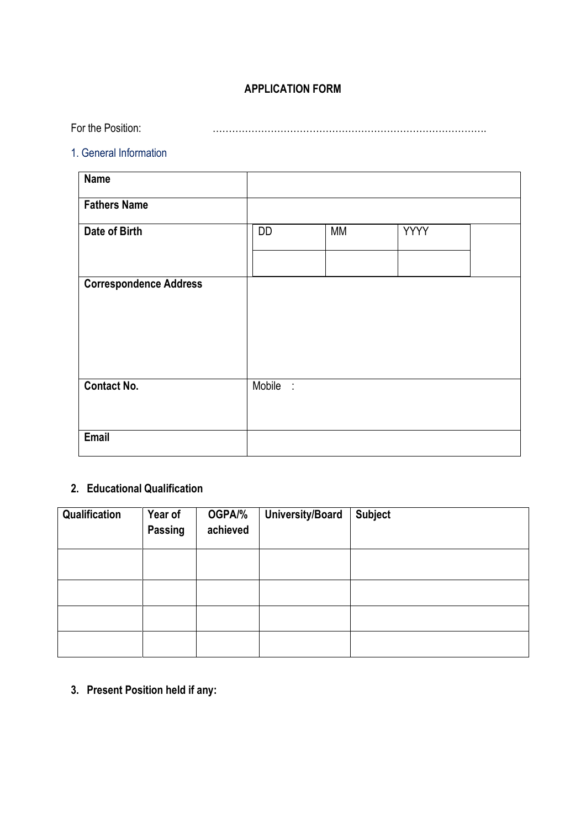## **APPLICATION FORM**

For the Position: ………………………………………………………………………….

## 1. General Information

| <b>Name</b>                   |          |           |             |  |
|-------------------------------|----------|-----------|-------------|--|
| <b>Fathers Name</b>           |          |           |             |  |
| Date of Birth                 | DD       | <b>MM</b> | <b>YYYY</b> |  |
| <b>Correspondence Address</b> |          |           |             |  |
| <b>Contact No.</b>            | Mobile : |           |             |  |
| <b>Email</b>                  |          |           |             |  |

### **2. Educational Qualification**

| Qualification | Year of<br>Passing | OGPA/%<br>achieved | <b>University/Board</b> | <b>Subject</b> |
|---------------|--------------------|--------------------|-------------------------|----------------|
|               |                    |                    |                         |                |
|               |                    |                    |                         |                |
|               |                    |                    |                         |                |
|               |                    |                    |                         |                |

**3. Present Position held if any:**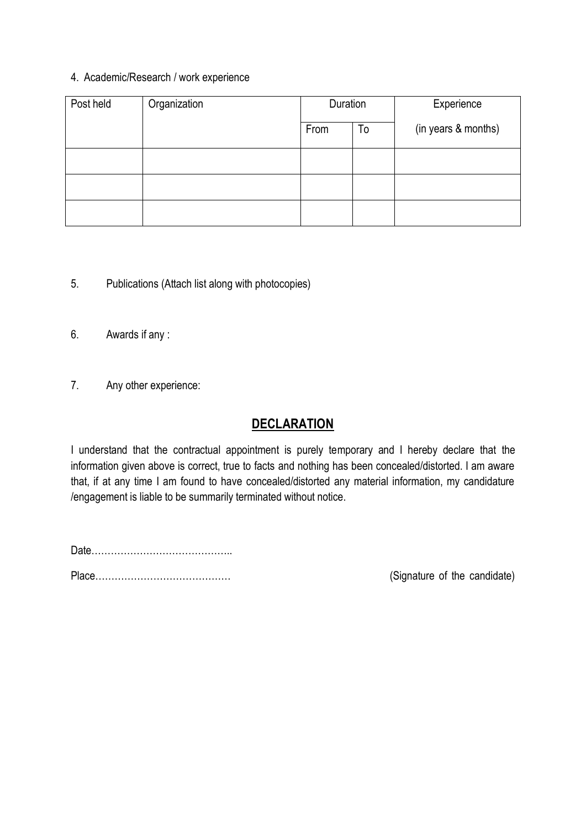#### 4. Academic/Research / work experience

| Post held | Organization | Duration |    | Experience          |
|-----------|--------------|----------|----|---------------------|
|           |              | From     | To | (in years & months) |
|           |              |          |    |                     |
|           |              |          |    |                     |
|           |              |          |    |                     |

- 5. Publications (Attach list along with photocopies)
- 6. Awards if any :
- 7. Any other experience:

# **DECLARATION**

I understand that the contractual appointment is purely temporary and I hereby declare that the information given above is correct, true to facts and nothing has been concealed/distorted. I am aware that, if at any time I am found to have concealed/distorted any material information, my candidature /engagement is liable to be summarily terminated without notice.

Date……………………………………..

Place…………………………………… (Signature of the candidate)